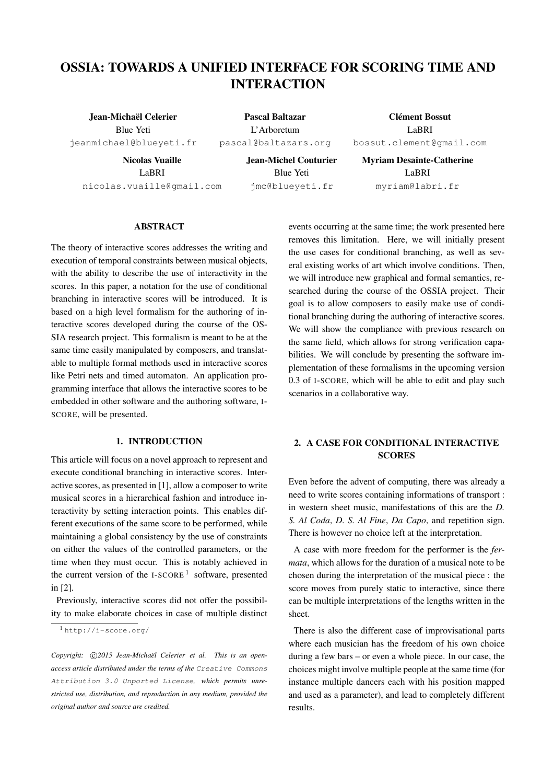# OSSIA: TOWARDS A UNIFIED INTERFACE FOR SCORING TIME AND INTERACTION

Jean-Michaël Celerier Blue Yeti [jeanmichael@blueyeti.fr](mailto:jeanmichael@blueyeti.fr)

Nicolas Vuaille LaBRI [nicolas.vuaille@gmail.com](mailto:nicolas.vuaille@gmail.com)

Pascal Baltazar L'Arboretum [pascal@baltazars.org](mailto:pascal@baltazars.org)

Clément Bossut LaBRI [bossut.clement@gmail.com](mailto:bossut.clement@gmail.com)

Jean-Michel Couturier Blue Yeti [jmc@blueyeti.fr](mailto:jmc@blueyeti.fr)

Myriam Desainte-Catherine LaBRI [myriam@labri.fr](mailto:myriam@labri.fr)

# ABSTRACT

The theory of interactive scores addresses the writing and execution of temporal constraints between musical objects, with the ability to describe the use of interactivity in the scores. In this paper, a notation for the use of conditional branching in interactive scores will be introduced. It is based on a high level formalism for the authoring of interactive scores developed during the course of the OS-SIA research project. This formalism is meant to be at the same time easily manipulated by composers, and translatable to multiple formal methods used in interactive scores like Petri nets and timed automaton. An application programming interface that allows the interactive scores to be embedded in other software and the authoring software, I-SCORE, will be presented.

# 1. INTRODUCTION

This article will focus on a novel approach to represent and execute conditional branching in interactive scores. Interactive scores, as presented in [\[1\]](#page-8-0), allow a composer to write musical scores in a hierarchical fashion and introduce interactivity by setting interaction points. This enables different executions of the same score to be performed, while maintaining a global consistency by the use of constraints on either the values of the controlled parameters, or the time when they must occur. This is notably achieved in the current version of the I-SCORE<sup>[1](#page-0-0)</sup> software, presented in [\[2\]](#page-8-1).

Previously, interactive scores did not offer the possibility to make elaborate choices in case of multiple distinct

Copyright:  $\bigcirc$ 2015 Jean-Michaël Celerier et al. This is an open*access article distributed under the terms of the* [Creative Commons](http://creativecommons.org/licenses/by/3.0/) [Attribution 3.0 Unported License](http://creativecommons.org/licenses/by/3.0/)*, which permits unrestricted use, distribution, and reproduction in any medium, provided the original author and source are credited.*

events occurring at the same time; the work presented here removes this limitation. Here, we will initially present the use cases for conditional branching, as well as several existing works of art which involve conditions. Then, we will introduce new graphical and formal semantics, researched during the course of the OSSIA project. Their goal is to allow composers to easily make use of conditional branching during the authoring of interactive scores. We will show the compliance with previous research on the same field, which allows for strong verification capabilities. We will conclude by presenting the software implementation of these formalisms in the upcoming version 0.3 of I-SCORE, which will be able to edit and play such scenarios in a collaborative way.

# 2. A CASE FOR CONDITIONAL INTERACTIVE **SCORES**

Even before the advent of computing, there was already a need to write scores containing informations of transport : in western sheet music, manifestations of this are the *D. S. Al Coda*, *D. S. Al Fine*, *Da Capo*, and repetition sign. There is however no choice left at the interpretation.

A case with more freedom for the performer is the *fermata*, which allows for the duration of a musical note to be chosen during the interpretation of the musical piece : the score moves from purely static to interactive, since there can be multiple interpretations of the lengths written in the sheet.

There is also the different case of improvisational parts where each musician has the freedom of his own choice during a few bars – or even a whole piece. In our case, the choices might involve multiple people at the same time (for instance multiple dancers each with his position mapped and used as a parameter), and lead to completely different results.

<span id="page-0-0"></span><sup>1</sup> <http://i-score.org/>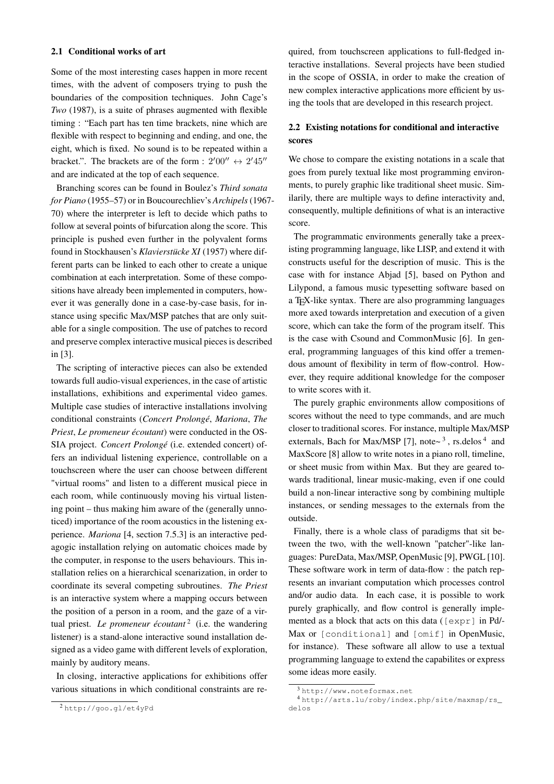#### <span id="page-1-3"></span>2.1 Conditional works of art

Some of the most interesting cases happen in more recent times, with the advent of composers trying to push the boundaries of the composition techniques. John Cage's *Two* (1987), is a suite of phrases augmented with flexible timing : "Each part has ten time brackets, nine which are flexible with respect to beginning and ending, and one, the eight, which is fixed. No sound is to be repeated within a bracket.". The brackets are of the form :  $2'00'' \leftrightarrow 2'45''$ and are indicated at the top of each sequence.

Branching scores can be found in Boulez's *Third sonata for Piano* (1955–57) or in Boucourechliev's *Archipels*(1967- 70) where the interpreter is left to decide which paths to follow at several points of bifurcation along the score. This principle is pushed even further in the polyvalent forms found in Stockhausen's *Klavierstücke XI* (1957) where different parts can be linked to each other to create a unique combination at each interpretation. Some of these compositions have already been implemented in computers, however it was generally done in a case-by-case basis, for instance using specific Max/MSP patches that are only suitable for a single composition. The use of patches to record and preserve complex interactive musical pieces is described in [\[3\]](#page-8-2).

The scripting of interactive pieces can also be extended towards full audio-visual experiences, in the case of artistic installations, exhibitions and experimental video games. Multiple case studies of interactive installations involving conditional constraints (*Concert Prolongé*, *Mariona*, *The Priest*, *Le promeneur écoutant*) were conducted in the OS-SIA project. *Concert Prolongé* (i.e. extended concert) offers an individual listening experience, controllable on a touchscreen where the user can choose between different "virtual rooms" and listen to a different musical piece in each room, while continuously moving his virtual listening point – thus making him aware of the (generally unnoticed) importance of the room acoustics in the listening experience. *Mariona* [\[4,](#page-8-3) section 7.5.3] is an interactive pedagogic installation relying on automatic choices made by the computer, in response to the users behaviours. This installation relies on a hierarchical scenarization, in order to coordinate its several competing subroutines. *The Priest* is an interactive system where a mapping occurs between the position of a person in a room, and the gaze of a virtual priest. *Le promeneur écoutant*<sup>[2](#page-1-0)</sup> (i.e. the wandering listener) is a stand-alone interactive sound installation designed as a video game with different levels of exploration, mainly by auditory means.

In closing, interactive applications for exhibitions offer various situations in which conditional constraints are required, from touchscreen applications to full-fledged interactive installations. Several projects have been studied in the scope of OSSIA, in order to make the creation of new complex interactive applications more efficient by using the tools that are developed in this research project.

# 2.2 Existing notations for conditional and interactive scores

We chose to compare the existing notations in a scale that goes from purely textual like most programming environments, to purely graphic like traditional sheet music. Similarily, there are multiple ways to define interactivity and, consequently, multiple definitions of what is an interactive score.

The programmatic environments generally take a preexisting programming language, like LISP, and extend it with constructs useful for the description of music. This is the case with for instance Abjad [\[5\]](#page-8-4), based on Python and Lilypond, a famous music typesetting software based on a TEX-like syntax. There are also programming languages more axed towards interpretation and execution of a given score, which can take the form of the program itself. This is the case with Csound and CommonMusic [\[6\]](#page-8-5). In general, programming languages of this kind offer a tremendous amount of flexibility in term of flow-control. However, they require additional knowledge for the composer to write scores with it.

The purely graphic environments allow compositions of scores without the need to type commands, and are much closer to traditional scores. For instance, multiple Max/MSP externals, Bach for Max/MSP [\[7\]](#page-8-6), note $\sim$ <sup>[3](#page-1-1)</sup>, rs.delos<sup>[4](#page-1-2)</sup> and MaxScore [\[8\]](#page-8-7) allow to write notes in a piano roll, timeline, or sheet music from within Max. But they are geared towards traditional, linear music-making, even if one could build a non-linear interactive song by combining multiple instances, or sending messages to the externals from the outside.

Finally, there is a whole class of paradigms that sit between the two, with the well-known "patcher"-like languages: PureData, Max/MSP, OpenMusic [\[9\]](#page-8-8), PWGL [\[10\]](#page-8-9). These software work in term of data-flow : the patch represents an invariant computation which processes control and/or audio data. In each case, it is possible to work purely graphically, and flow control is generally implemented as a block that acts on this data ([expr] in Pd/- Max or [conditional] and [omif] in OpenMusic, for instance). These software all allow to use a textual programming language to extend the capabilites or express some ideas more easily.

<span id="page-1-0"></span><sup>2</sup> <http://goo.gl/et4yPd>

<span id="page-1-2"></span><span id="page-1-1"></span><sup>3</sup> <http://www.noteformax.net>

<sup>4</sup> [http://arts.lu/roby/index.php/site/maxmsp/rs\\_](http://arts.lu/roby/index.php/site/maxmsp/rs_delos) [delos](http://arts.lu/roby/index.php/site/maxmsp/rs_delos)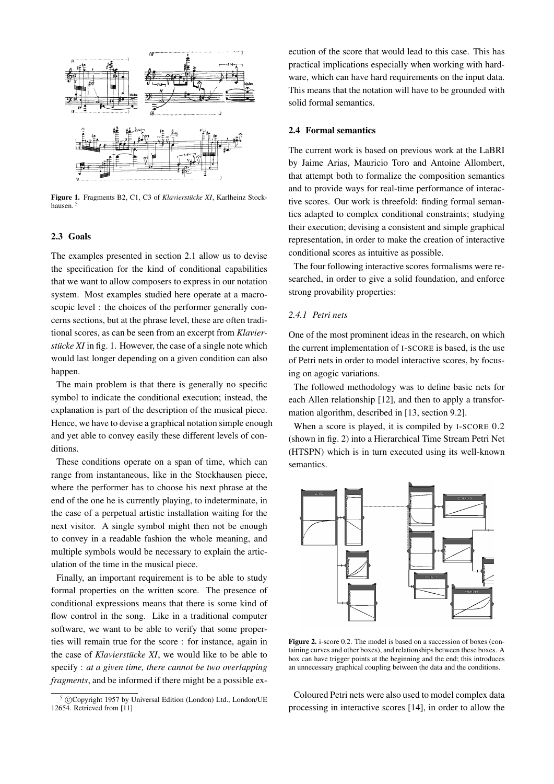<span id="page-2-1"></span>

Figure 1. Fragments B2, C1, C3 of *Klavierstücke XI*, Karlheinz Stockhausen. [5](#page-2-0)

### 2.3 Goals

The examples presented in section [2.1](#page-1-3) allow us to devise the specification for the kind of conditional capabilities that we want to allow composers to express in our notation system. Most examples studied here operate at a macroscopic level : the choices of the performer generally concerns sections, but at the phrase level, these are often traditional scores, as can be seen from an excerpt from *Klavierstücke XI* in fig. [1.](#page-2-1) However, the case of a single note which would last longer depending on a given condition can also happen.

The main problem is that there is generally no specific symbol to indicate the conditional execution; instead, the explanation is part of the description of the musical piece. Hence, we have to devise a graphical notation simple enough and yet able to convey easily these different levels of conditions.

These conditions operate on a span of time, which can range from instantaneous, like in the Stockhausen piece, where the performer has to choose his next phrase at the end of the one he is currently playing, to indeterminate, in the case of a perpetual artistic installation waiting for the next visitor. A single symbol might then not be enough to convey in a readable fashion the whole meaning, and multiple symbols would be necessary to explain the articulation of the time in the musical piece.

Finally, an important requirement is to be able to study formal properties on the written score. The presence of conditional expressions means that there is some kind of flow control in the song. Like in a traditional computer software, we want to be able to verify that some properties will remain true for the score : for instance, again in the case of *Klavierstücke XI*, we would like to be able to specify : *at a given time, there cannot be two overlapping fragments*, and be informed if there might be a possible execution of the score that would lead to this case. This has practical implications especially when working with hardware, which can have hard requirements on the input data. This means that the notation will have to be grounded with solid formal semantics.

### <span id="page-2-3"></span>2.4 Formal semantics

The current work is based on previous work at the LaBRI by Jaime Arias, Mauricio Toro and Antoine Allombert, that attempt both to formalize the composition semantics and to provide ways for real-time performance of interactive scores. Our work is threefold: finding formal semantics adapted to complex conditional constraints; studying their execution; devising a consistent and simple graphical representation, in order to make the creation of interactive conditional scores as intuitive as possible.

The four following interactive scores formalisms were researched, in order to give a solid foundation, and enforce strong provability properties:

# *2.4.1 Petri nets*

One of the most prominent ideas in the research, on which the current implementation of I-SCORE is based, is the use of Petri nets in order to model interactive scores, by focusing on agogic variations.

The followed methodology was to define basic nets for each Allen relationship [\[12\]](#page-8-11), and then to apply a transformation algorithm, described in [\[13,](#page-8-12) section 9.2].

When a score is played, it is compiled by I-SCORE 0.2 (shown in fig. [2\)](#page-2-2) into a Hierarchical Time Stream Petri Net (HTSPN) which is in turn executed using its well-known semantics.

<span id="page-2-2"></span>

Figure 2. i-score 0.2. The model is based on a succession of boxes (containing curves and other boxes), and relationships between these boxes. A box can have trigger points at the beginning and the end; this introduces an unnecessary graphical coupling between the data and the conditions.

Coloured Petri nets were also used to model complex data processing in interactive scores [\[14\]](#page-8-13), in order to allow the

<span id="page-2-0"></span><sup>&</sup>lt;sup>5</sup> © Copyright 1957 by Universal Edition (London) Ltd., London/UE 12654. Retrieved from [\[11\]](#page-8-10)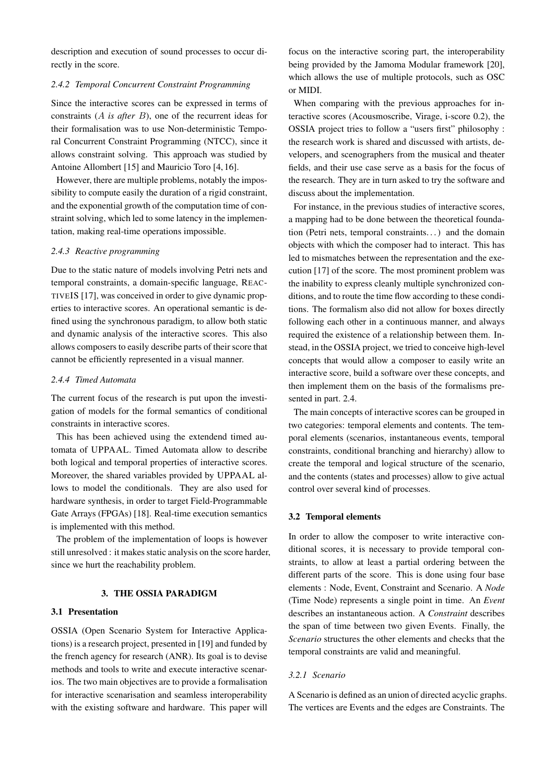description and execution of sound processes to occur directly in the score.

# *2.4.2 Temporal Concurrent Constraint Programming*

Since the interactive scores can be expressed in terms of constraints (A *is after* B), one of the recurrent ideas for their formalisation was to use Non-deterministic Temporal Concurrent Constraint Programming (NTCC), since it allows constraint solving. This approach was studied by Antoine Allombert [\[15\]](#page-8-14) and Mauricio Toro [\[4,](#page-8-3) [16\]](#page-8-15).

However, there are multiple problems, notably the impossibility to compute easily the duration of a rigid constraint, and the exponential growth of the computation time of constraint solving, which led to some latency in the implementation, making real-time operations impossible.

### *2.4.3 Reactive programming*

Due to the static nature of models involving Petri nets and temporal constraints, a domain-specific language, REAC-TIVEIS [\[17\]](#page-8-16), was conceived in order to give dynamic properties to interactive scores. An operational semantic is defined using the synchronous paradigm, to allow both static and dynamic analysis of the interactive scores. This also allows composers to easily describe parts of their score that cannot be efficiently represented in a visual manner.

### *2.4.4 Timed Automata*

The current focus of the research is put upon the investigation of models for the formal semantics of conditional constraints in interactive scores.

This has been achieved using the extendend timed automata of UPPAAL. Timed Automata allow to describe both logical and temporal properties of interactive scores. Moreover, the shared variables provided by UPPAAL allows to model the conditionals. They are also used for hardware synthesis, in order to target Field-Programmable Gate Arrays (FPGAs) [\[18\]](#page-9-0). Real-time execution semantics is implemented with this method.

The problem of the implementation of loops is however still unresolved : it makes static analysis on the score harder, since we hurt the reachability problem.

#### 3. THE OSSIA PARADIGM

# 3.1 Presentation

OSSIA (Open Scenario System for Interactive Applications) is a research project, presented in [\[19\]](#page-9-1) and funded by the french agency for research (ANR). Its goal is to devise methods and tools to write and execute interactive scenarios. The two main objectives are to provide a formalisation for interactive scenarisation and seamless interoperability with the existing software and hardware. This paper will

focus on the interactive scoring part, the interoperability being provided by the Jamoma Modular framework [\[20\]](#page-9-2), which allows the use of multiple protocols, such as OSC or MIDI.

When comparing with the previous approaches for interactive scores (Acousmoscribe, Virage, i-score 0.2), the OSSIA project tries to follow a "users first" philosophy : the research work is shared and discussed with artists, developers, and scenographers from the musical and theater fields, and their use case serve as a basis for the focus of the research. They are in turn asked to try the software and discuss about the implementation.

For instance, in the previous studies of interactive scores, a mapping had to be done between the theoretical foundation (Petri nets, temporal constraints. . . ) and the domain objects with which the composer had to interact. This has led to mismatches between the representation and the execution [\[17\]](#page-8-16) of the score. The most prominent problem was the inability to express cleanly multiple synchronized conditions, and to route the time flow according to these conditions. The formalism also did not allow for boxes directly following each other in a continuous manner, and always required the existence of a relationship between them. Instead, in the OSSIA project, we tried to conceive high-level concepts that would allow a composer to easily write an interactive score, build a software over these concepts, and then implement them on the basis of the formalisms presented in part. [2.4.](#page-2-3)

The main concepts of interactive scores can be grouped in two categories: temporal elements and contents. The temporal elements (scenarios, instantaneous events, temporal constraints, conditional branching and hierarchy) allow to create the temporal and logical structure of the scenario, and the contents (states and processes) allow to give actual control over several kind of processes.

### 3.2 Temporal elements

In order to allow the composer to write interactive conditional scores, it is necessary to provide temporal constraints, to allow at least a partial ordering between the different parts of the score. This is done using four base elements : Node, Event, Constraint and Scenario. A *Node* (Time Node) represents a single point in time. An *Event* describes an instantaneous action. A *Constraint* describes the span of time between two given Events. Finally, the *Scenario* structures the other elements and checks that the temporal constraints are valid and meaningful.

### *3.2.1 Scenario*

A Scenario is defined as an union of directed acyclic graphs. The vertices are Events and the edges are Constraints. The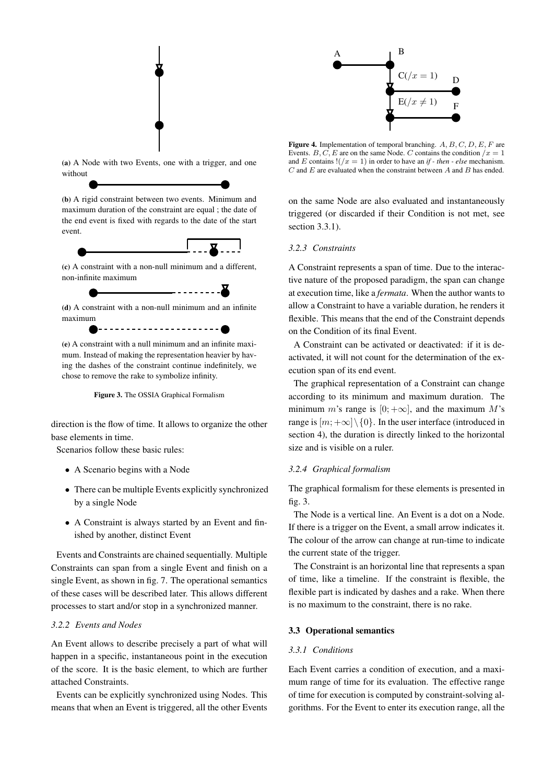<span id="page-4-1"></span>

(a) A Node with two Events, one with a trigger, and one without

(b) A rigid constraint between two events. Minimum and maximum duration of the constraint are equal ; the date of the end event is fixed with regards to the date of the start event.



(c) A constraint with a non-null minimum and a different, non-infinite maximum

- - - - - - - - - <del>-</del>

(d) A constraint with a non-null minimum and an infinite maximum

----------------------

(e) A constraint with a null minimum and an infinite maximum. Instead of making the representation heavier by having the dashes of the constraint continue indefinitely, we chose to remove the rake to symbolize infinity.



direction is the flow of time. It allows to organize the other base elements in time.

Scenarios follow these basic rules:

- A Scenario begins with a Node
- There can be multiple Events explicitly synchronized by a single Node
- A Constraint is always started by an Event and finished by another, distinct Event

Events and Constraints are chained sequentially. Multiple Constraints can span from a single Event and finish on a single Event, as shown in fig. [7.](#page-6-0) The operational semantics of these cases will be described later. This allows different processes to start and/or stop in a synchronized manner.

# <span id="page-4-3"></span>*3.2.2 Events and Nodes*

An Event allows to describe precisely a part of what will happen in a specific, instantaneous point in the execution of the score. It is the basic element, to which are further attached Constraints.

Events can be explicitly synchronized using Nodes. This means that when an Event is triggered, all the other Events

<span id="page-4-2"></span>

Figure 4. Implementation of temporal branching.  $A, B, C, D, E, F$  are Events. B, C, E are on the same Node. C contains the condition  $/x = 1$ and E contains  $!((x = 1)$  in order to have an *if - then - else* mechanism.  $C$  and  $E$  are evaluated when the constraint between  $A$  and  $B$  has ended.

on the same Node are also evaluated and instantaneously triggered (or discarded if their Condition is not met, see section [3.3.1\)](#page-4-0).

### *3.2.3 Constraints*

A Constraint represents a span of time. Due to the interactive nature of the proposed paradigm, the span can change at execution time, like a *fermata*. When the author wants to allow a Constraint to have a variable duration, he renders it flexible. This means that the end of the Constraint depends on the Condition of its final Event.

A Constraint can be activated or deactivated: if it is deactivated, it will not count for the determination of the execution span of its end event.

The graphical representation of a Constraint can change according to its minimum and maximum duration. The minimum m's range is [0;  $+\infty$ ], and the maximum M's range is  $[m; +\infty] \setminus \{0\}$ . In the user interface (introduced in section [4\)](#page-7-0), the duration is directly linked to the horizontal size and is visible on a ruler.

### *3.2.4 Graphical formalism*

The graphical formalism for these elements is presented in fig. [3.](#page-4-1)

The Node is a vertical line. An Event is a dot on a Node. If there is a trigger on the Event, a small arrow indicates it. The colour of the arrow can change at run-time to indicate the current state of the trigger.

The Constraint is an horizontal line that represents a span of time, like a timeline. If the constraint is flexible, the flexible part is indicated by dashes and a rake. When there is no maximum to the constraint, there is no rake.

### 3.3 Operational semantics

### <span id="page-4-0"></span>*3.3.1 Conditions*

Each Event carries a condition of execution, and a maximum range of time for its evaluation. The effective range of time for execution is computed by constraint-solving algorithms. For the Event to enter its execution range, all the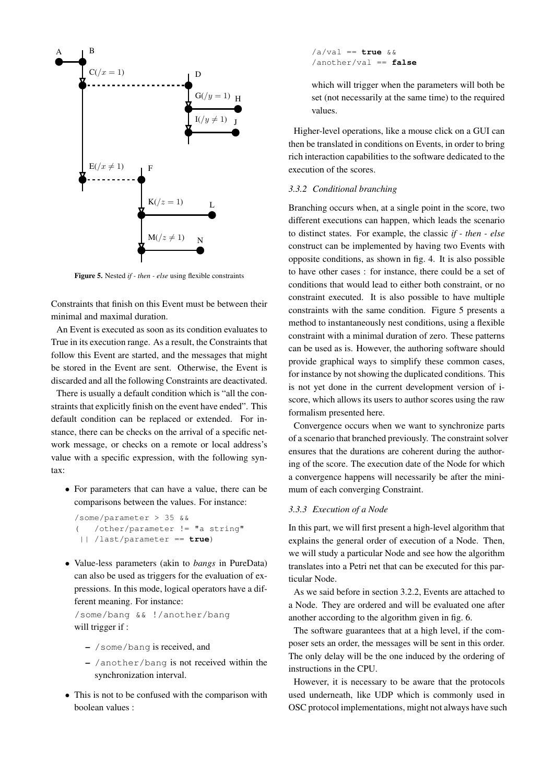<span id="page-5-0"></span>

Figure 5. Nested *if - then - else* using flexible constraints

Constraints that finish on this Event must be between their minimal and maximal duration.

An Event is executed as soon as its condition evaluates to True in its execution range. As a result, the Constraints that follow this Event are started, and the messages that might be stored in the Event are sent. Otherwise, the Event is discarded and all the following Constraints are deactivated.

There is usually a default condition which is "all the constraints that explicitly finish on the event have ended". This default condition can be replaced or extended. For instance, there can be checks on the arrival of a specific network message, or checks on a remote or local address's value with a specific expression, with the following syntax:

• For parameters that can have a value, there can be comparisons between the values. For instance:

```
/some/parameter > 35 &&
( /other/parameter != "a string"
 || /last/parameter == true)
```
• Value-less parameters (akin to *bangs* in PureData) can also be used as triggers for the evaluation of expressions. In this mode, logical operators have a different meaning. For instance:

/some/bang && !/another/bang will trigger if :

- /some/bang is received, and
- /another/bang is not received within the synchronization interval.
- This is not to be confused with the comparison with boolean values :

/a/val == **true** && /another/val == **false**

which will trigger when the parameters will both be set (not necessarily at the same time) to the required values.

Higher-level operations, like a mouse click on a GUI can then be translated in conditions on Events, in order to bring rich interaction capabilities to the software dedicated to the execution of the scores.

# *3.3.2 Conditional branching*

Branching occurs when, at a single point in the score, two different executions can happen, which leads the scenario to distinct states. For example, the classic *if - then - else* construct can be implemented by having two Events with opposite conditions, as shown in fig. [4.](#page-4-2) It is also possible to have other cases : for instance, there could be a set of conditions that would lead to either both constraint, or no constraint executed. It is also possible to have multiple constraints with the same condition. Figure [5](#page-5-0) presents a method to instantaneously nest conditions, using a flexible constraint with a minimal duration of zero. These patterns can be used as is. However, the authoring software should provide graphical ways to simplify these common cases, for instance by not showing the duplicated conditions. This is not yet done in the current development version of iscore, which allows its users to author scores using the raw formalism presented here.

Convergence occurs when we want to synchronize parts of a scenario that branched previously. The constraint solver ensures that the durations are coherent during the authoring of the score. The execution date of the Node for which a convergence happens will necessarily be after the minimum of each converging Constraint.

## *3.3.3 Execution of a Node*

In this part, we will first present a high-level algorithm that explains the general order of execution of a Node. Then, we will study a particular Node and see how the algorithm translates into a Petri net that can be executed for this particular Node.

As we said before in section [3.2.2,](#page-4-3) Events are attached to a Node. They are ordered and will be evaluated one after another according to the algorithm given in fig. [6.](#page-6-1)

The software guarantees that at a high level, if the composer sets an order, the messages will be sent in this order. The only delay will be the one induced by the ordering of instructions in the CPU.

However, it is necessary to be aware that the protocols used underneath, like UDP which is commonly used in OSC protocol implementations, might not always have such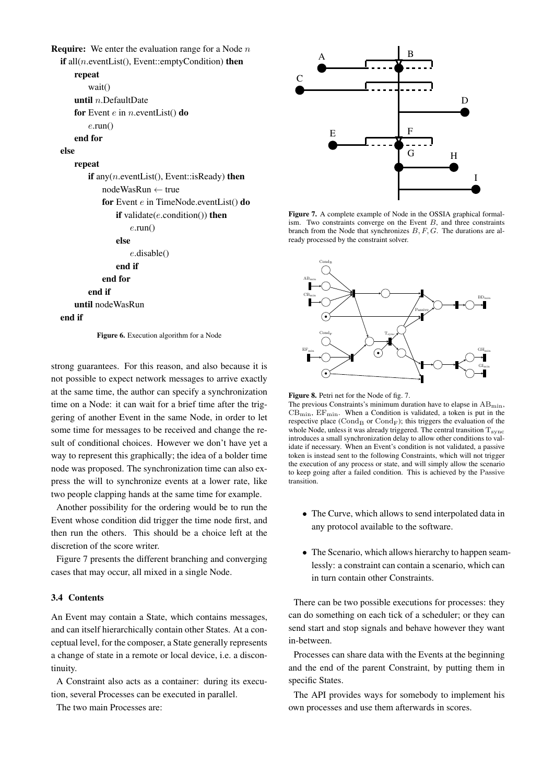<span id="page-6-1"></span>**Require:** We enter the evaluation range for a Node  $n$ 

```
if all(n.eventList(), Event::emptyCondition) then
    repeat
       wait()
    until n.DefaultDate
    for Event e in n, eventList() do
        e.run()
    end for
else
    repeat
       if any(n.eventList(), Event::isReady) then
           nodeWasRun ← true
           for Event e in TimeNode.eventList() do
               if validate(e.\text{condition}()) then
                   e.run()
               else
                   e.disable()
               end if
           end for
       end if
    until nodeWasRun
end if
```
Figure 6. Execution algorithm for a Node

strong guarantees. For this reason, and also because it is not possible to expect network messages to arrive exactly at the same time, the author can specify a synchronization time on a Node: it can wait for a brief time after the triggering of another Event in the same Node, in order to let some time for messages to be received and change the result of conditional choices. However we don't have yet a way to represent this graphically; the idea of a bolder time node was proposed. The synchronization time can also express the will to synchronize events at a lower rate, like two people clapping hands at the same time for example.

Another possibility for the ordering would be to run the Event whose condition did trigger the time node first, and then run the others. This should be a choice left at the discretion of the score writer.

Figure [7](#page-6-0) presents the different branching and converging cases that may occur, all mixed in a single Node.

### 3.4 Contents

An Event may contain a State, which contains messages, and can itself hierarchically contain other States. At a conceptual level, for the composer, a State generally represents a change of state in a remote or local device, i.e. a discontinuity.

A Constraint also acts as a container: during its execution, several Processes can be executed in parallel.

The two main Processes are:

<span id="page-6-0"></span>

Figure 7. A complete example of Node in the OSSIA graphical formalism. Two constraints converge on the Event  $B$ , and three constraints branch from the Node that synchronizes  $B, F, G$ . The durations are already processed by the constraint solver.

<span id="page-6-2"></span>

Figure 8. Petri net for the Node of fig. [7.](#page-6-0)

The previous Constraints's minimum duration have to elapse in  $AB_{\text{min}}$ ,  $CB_{\text{min}}$ ,  $EF_{\text{min}}$ . When a Condition is validated, a token is put in the respective place  $(\text{Cond}_B$  or  $\text{Cond}_F$ ); this triggers the evaluation of the whole Node, unless it was already triggered. The central transition  $T_{\rm sync}$ introduces a small synchronization delay to allow other conditions to validate if necessary. When an Event's condition is not validated, a passive token is instead sent to the following Constraints, which will not trigger the execution of any process or state, and will simply allow the scenario to keep going after a failed condition. This is achieved by the Passive transition.

- The Curve, which allows to send interpolated data in any protocol available to the software.
- The Scenario, which allows hierarchy to happen seamlessly: a constraint can contain a scenario, which can in turn contain other Constraints.

There can be two possible executions for processes: they can do something on each tick of a scheduler; or they can send start and stop signals and behave however they want in-between.

Processes can share data with the Events at the beginning and the end of the parent Constraint, by putting them in specific States.

The API provides ways for somebody to implement his own processes and use them afterwards in scores.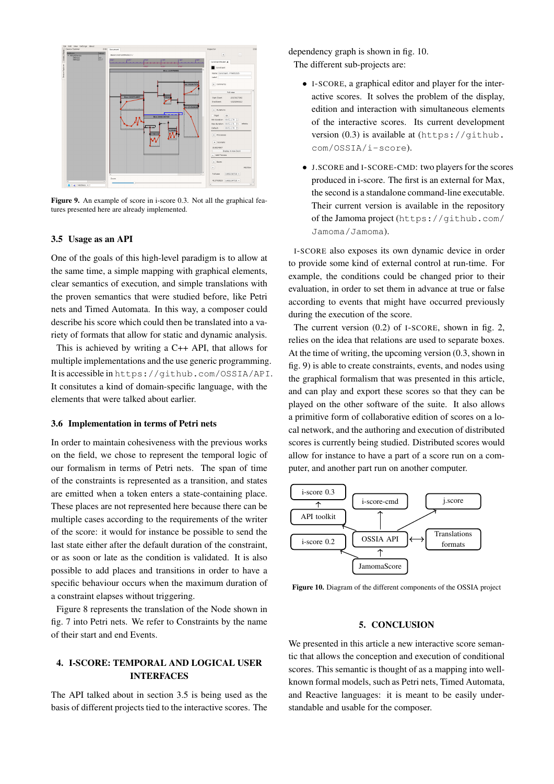<span id="page-7-3"></span>

Figure 9. An example of score in i-score 0.3. Not all the graphical features presented here are already implemented.

#### <span id="page-7-1"></span>3.5 Usage as an API

One of the goals of this high-level paradigm is to allow at the same time, a simple mapping with graphical elements, clear semantics of execution, and simple translations with the proven semantics that were studied before, like Petri nets and Timed Automata. In this way, a composer could describe his score which could then be translated into a variety of formats that allow for static and dynamic analysis.

This is achieved by writing a C++ API, that allows for multiple implementations and the use generic programming. It is accessible in <https://github.com/OSSIA/API>. It consitutes a kind of domain-specific language, with the elements that were talked about earlier.

#### 3.6 Implementation in terms of Petri nets

In order to maintain cohesiveness with the previous works on the field, we chose to represent the temporal logic of our formalism in terms of Petri nets. The span of time of the constraints is represented as a transition, and states are emitted when a token enters a state-containing place. These places are not represented here because there can be multiple cases according to the requirements of the writer of the score: it would for instance be possible to send the last state either after the default duration of the constraint, or as soon or late as the condition is validated. It is also possible to add places and transitions in order to have a specific behaviour occurs when the maximum duration of a constraint elapses without triggering.

Figure [8](#page-6-2) represents the translation of the Node shown in fig. [7](#page-6-0) into Petri nets. We refer to Constraints by the name of their start and end Events.

# <span id="page-7-0"></span>4. I-SCORE: TEMPORAL AND LOGICAL USER INTERFACES

The API talked about in section [3.5](#page-7-1) is being used as the basis of different projects tied to the interactive scores. The dependency graph is shown in fig. [10.](#page-7-2)

The different sub-projects are:

- I-SCORE, a graphical editor and player for the interactive scores. It solves the problem of the display, edition and interaction with simultaneous elements of the interactive scores. Its current development version (0.3) is available at ([https://github.](https://github.com/OSSIA/i-score) [com/OSSIA/i-score](https://github.com/OSSIA/i-score)).
- J.SCORE and I-SCORE-CMD: two players for the scores produced in i-score. The first is an external for Max, the second is a standalone command-line executable. Their current version is available in the repository of the Jamoma project ([https://github.com/](https://github.com/Jamoma/Jamoma) [Jamoma/Jamoma](https://github.com/Jamoma/Jamoma)).

I-SCORE also exposes its own dynamic device in order to provide some kind of external control at run-time. For example, the conditions could be changed prior to their evaluation, in order to set them in advance at true or false according to events that might have occurred previously during the execution of the score.

The current version (0.2) of I-SCORE, shown in fig. [2,](#page-2-2) relies on the idea that relations are used to separate boxes. At the time of writing, the upcoming version (0.3, shown in fig. [9\)](#page-7-3) is able to create constraints, events, and nodes using the graphical formalism that was presented in this article, and can play and export these scores so that they can be played on the other software of the suite. It also allows a primitive form of collaborative edition of scores on a local network, and the authoring and execution of distributed scores is currently being studied. Distributed scores would allow for instance to have a part of a score run on a computer, and another part run on another computer.

<span id="page-7-2"></span>

Figure 10. Diagram of the different components of the OSSIA project

## 5. CONCLUSION

We presented in this article a new interactive score semantic that allows the conception and execution of conditional scores. This semantic is thought of as a mapping into wellknown formal models, such as Petri nets, Timed Automata, and Reactive languages: it is meant to be easily understandable and usable for the composer.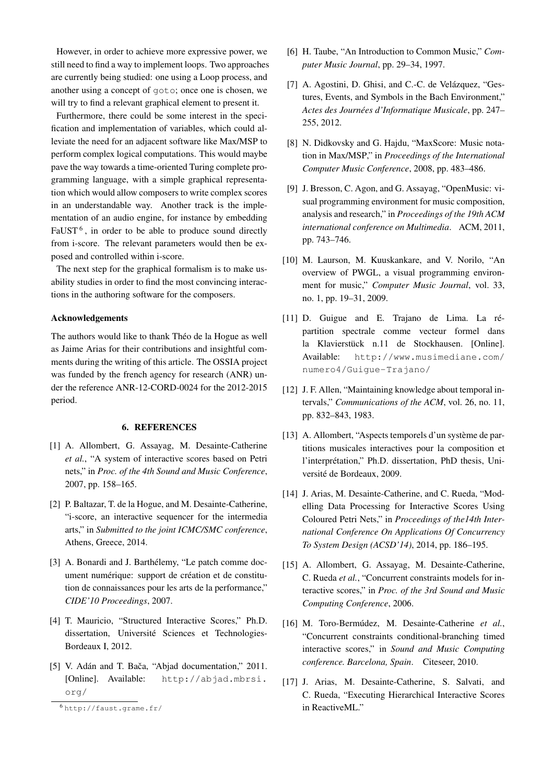However, in order to achieve more expressive power, we still need to find a way to implement loops. Two approaches are currently being studied: one using a Loop process, and another using a concept of goto; once one is chosen, we will try to find a relevant graphical element to present it.

Furthermore, there could be some interest in the specification and implementation of variables, which could alleviate the need for an adjacent software like Max/MSP to perform complex logical computations. This would maybe pave the way towards a time-oriented Turing complete programming language, with a simple graphical representation which would allow composers to write complex scores in an understandable way. Another track is the implementation of an audio engine, for instance by embedding  $FaUST<sup>6</sup>$  $FaUST<sup>6</sup>$  $FaUST<sup>6</sup>$ , in order to be able to produce sound directly from i-score. The relevant parameters would then be exposed and controlled within i-score.

The next step for the graphical formalism is to make usability studies in order to find the most convincing interactions in the authoring software for the composers.

#### Acknowledgements

The authors would like to thank Théo de la Hogue as well as Jaime Arias for their contributions and insightful comments during the writing of this article. The OSSIA project was funded by the french agency for research (ANR) under the reference ANR-12-CORD-0024 for the 2012-2015 period.

# 6. REFERENCES

- <span id="page-8-0"></span>[1] A. Allombert, G. Assayag, M. Desainte-Catherine *et al.*, "A system of interactive scores based on Petri nets," in *Proc. of the 4th Sound and Music Conference*, 2007, pp. 158–165.
- <span id="page-8-1"></span>[2] P. Baltazar, T. de la Hogue, and M. Desainte-Catherine, "i-score, an interactive sequencer for the intermedia arts," in *Submitted to the joint ICMC/SMC conference*, Athens, Greece, 2014.
- <span id="page-8-2"></span>[3] A. Bonardi and J. Barthélemy, "Le patch comme document numérique: support de création et de constitution de connaissances pour les arts de la performance," *CIDE'10 Proceedings*, 2007.
- <span id="page-8-3"></span>[4] T. Mauricio, "Structured Interactive Scores," Ph.D. dissertation, Université Sciences et Technologies-Bordeaux I, 2012.
- <span id="page-8-4"></span>[5] V. Adán and T. Bača, "Abjad documentation," 2011. [Online]. Available: [http://abjad.mbrsi.](http://abjad.mbrsi.org/) [org/](http://abjad.mbrsi.org/)
- <span id="page-8-5"></span>[6] H. Taube, "An Introduction to Common Music," *Computer Music Journal*, pp. 29–34, 1997.
- <span id="page-8-6"></span>[7] A. Agostini, D. Ghisi, and C.-C. de Velázquez, "Gestures, Events, and Symbols in the Bach Environment," *Actes des Journées d'Informatique Musicale*, pp. 247– 255, 2012.
- <span id="page-8-7"></span>[8] N. Didkovsky and G. Hajdu, "MaxScore: Music notation in Max/MSP," in *Proceedings of the International Computer Music Conference*, 2008, pp. 483–486.
- <span id="page-8-8"></span>[9] J. Bresson, C. Agon, and G. Assayag, "OpenMusic: visual programming environment for music composition, analysis and research," in *Proceedings of the 19th ACM international conference on Multimedia*. ACM, 2011, pp. 743–746.
- <span id="page-8-9"></span>[10] M. Laurson, M. Kuuskankare, and V. Norilo, "An overview of PWGL, a visual programming environment for music," *Computer Music Journal*, vol. 33, no. 1, pp. 19–31, 2009.
- <span id="page-8-10"></span>[11] D. Guigue and E. Trajano de Lima. La répartition spectrale comme vecteur formel dans la Klavierstück n.11 de Stockhausen. [Online]. Available: [http://www.musimediane.com/](http://www.musimediane.com/numero4/Guigue-Trajano/) [numero4/Guigue-Trajano/](http://www.musimediane.com/numero4/Guigue-Trajano/)
- <span id="page-8-11"></span>[12] J. F. Allen, "Maintaining knowledge about temporal intervals," *Communications of the ACM*, vol. 26, no. 11, pp. 832–843, 1983.
- <span id="page-8-12"></span>[13] A. Allombert, "Aspects temporels d'un système de partitions musicales interactives pour la composition et l'interprétation," Ph.D. dissertation, PhD thesis, Université de Bordeaux, 2009.
- <span id="page-8-13"></span>[14] J. Arias, M. Desainte-Catherine, and C. Rueda, "Modelling Data Processing for Interactive Scores Using Coloured Petri Nets," in *Proceedings of the14th International Conference On Applications Of Concurrency To System Design (ACSD'14)*, 2014, pp. 186–195.
- <span id="page-8-14"></span>[15] A. Allombert, G. Assayag, M. Desainte-Catherine, C. Rueda *et al.*, "Concurrent constraints models for interactive scores," in *Proc. of the 3rd Sound and Music Computing Conference*, 2006.
- <span id="page-8-15"></span>[16] M. Toro-Bermúdez, M. Desainte-Catherine *et al.*, "Concurrent constraints conditional-branching timed interactive scores," in *Sound and Music Computing conference. Barcelona, Spain*. Citeseer, 2010.
- <span id="page-8-16"></span>[17] J. Arias, M. Desainte-Catherine, S. Salvati, and C. Rueda, "Executing Hierarchical Interactive Scores in ReactiveML."

<span id="page-8-17"></span><sup>6</sup> <http://faust.grame.fr/>